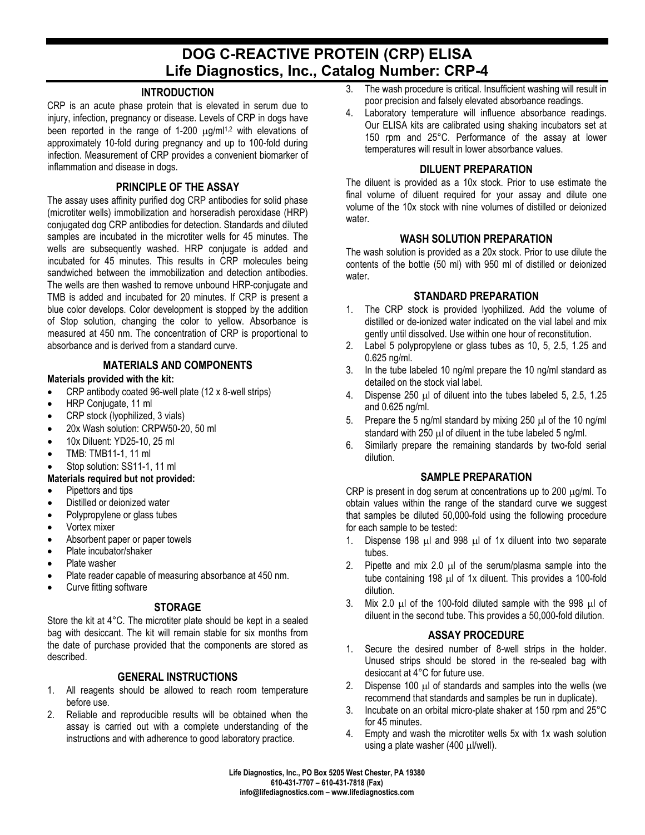# **DOG C-REACTIVE PROTEIN (CRP) ELISA Life Diagnostics, Inc., Catalog Number: CRP-4**

## **INTRODUCTION**

CRP is an acute phase protein that is elevated in serum due to injury, infection, pregnancy or disease. Levels of CRP in dogs have been reported in the range of 1-200  $\mu$ g/ml<sup>1,2</sup> with elevations of approximately 10-fold during pregnancy and up to 100-fold during infection. Measurement of CRP provides a convenient biomarker of inflammation and disease in dogs.

## **PRINCIPLE OF THE ASSAY**

The assay uses affinity purified dog CRP antibodies for solid phase (microtiter wells) immobilization and horseradish peroxidase (HRP) conjugated dog CRP antibodies for detection. Standards and diluted samples are incubated in the microtiter wells for 45 minutes. The wells are subsequently washed. HRP conjugate is added and incubated for 45 minutes. This results in CRP molecules being sandwiched between the immobilization and detection antibodies. The wells are then washed to remove unbound HRP-conjugate and TMB is added and incubated for 20 minutes. If CRP is present a blue color develops. Color development is stopped by the addition of Stop solution, changing the color to yellow. Absorbance is measured at 450 nm. The concentration of CRP is proportional to absorbance and is derived from a standard curve.

## **MATERIALS AND COMPONENTS**

**Materials provided with the kit:**

- CRP antibody coated 96-well plate (12 x 8-well strips)
- HRP Conjugate, 11 ml
- CRP stock (lyophilized, 3 vials)
- 20x Wash solution: CRPW50-20, 50 ml
- 10x Diluent: YD25-10, 25 ml
- TMB: TMB11-1, 11 ml
- Stop solution: SS11-1, 11 ml

#### **Materials required but not provided:**

- Pipettors and tips
- Distilled or deionized water
- Polypropylene or glass tubes
- Vortex mixer
- Absorbent paper or paper towels
- Plate incubator/shaker
- Plate washer
- Plate reader capable of measuring absorbance at 450 nm.
- Curve fitting software

#### **STORAGE**

Store the kit at 4°C. The microtiter plate should be kept in a sealed bag with desiccant. The kit will remain stable for six months from the date of purchase provided that the components are stored as described.

#### **GENERAL INSTRUCTIONS**

- 1. All reagents should be allowed to reach room temperature before use.
- 2. Reliable and reproducible results will be obtained when the assay is carried out with a complete understanding of the instructions and with adherence to good laboratory practice.
- 3. The wash procedure is critical. Insufficient washing will result in poor precision and falsely elevated absorbance readings.
- 4. Laboratory temperature will influence absorbance readings. Our ELISA kits are calibrated using shaking incubators set at 150 rpm and 25°C. Performance of the assay at lower temperatures will result in lower absorbance values.

## **DILUENT PREPARATION**

The diluent is provided as a 10x stock. Prior to use estimate the final volume of diluent required for your assay and dilute one volume of the 10x stock with nine volumes of distilled or deionized water.

#### **WASH SOLUTION PREPARATION**

The wash solution is provided as a 20x stock. Prior to use dilute the contents of the bottle (50 ml) with 950 ml of distilled or deionized water.

#### **STANDARD PREPARATION**

- 1. The CRP stock is provided lyophilized. Add the volume of distilled or de-ionized water indicated on the vial label and mix gently until dissolved. Use within one hour of reconstitution.
- 2. Label 5 polypropylene or glass tubes as 10, 5, 2.5, 1.25 and 0.625 ng/ml.
- 3. In the tube labeled 10 ng/ml prepare the 10 ng/ml standard as detailed on the stock vial label.
- 4. Dispense 250 µl of diluent into the tubes labeled 5, 2.5, 1.25 and 0.625 ng/ml.
- 5. Prepare the 5 ng/ml standard by mixing 250  $\mu$ l of the 10 ng/ml standard with 250 µl of diluent in the tube labeled 5 ng/ml.
- 6. Similarly prepare the remaining standards by two-fold serial dilution.

#### **SAMPLE PREPARATION**

CRP is present in dog serum at concentrations up to 200 µg/ml. To obtain values within the range of the standard curve we suggest that samples be diluted 50,000-fold using the following procedure for each sample to be tested:

- 1. Dispense 198 µl and 998 µl of 1x diluent into two separate tubes.
- 2. Pipette and mix 2.0 µl of the serum/plasma sample into the tube containing 198 µl of 1x diluent. This provides a 100-fold dilution.
- 3. Mix 2.0  $\mu$  of the 100-fold diluted sample with the 998  $\mu$  of diluent in the second tube. This provides a 50,000-fold dilution.

## **ASSAY PROCEDURE**

- 1. Secure the desired number of 8-well strips in the holder. Unused strips should be stored in the re-sealed bag with desiccant at 4°C for future use.
- 2. Dispense 100  $\mu$  of standards and samples into the wells (we recommend that standards and samples be run in duplicate).
- 3. Incubate on an orbital micro-plate shaker at 150 rpm and 25°C for 45 minutes.
- 4. Empty and wash the microtiter wells 5x with 1x wash solution using a plate washer (400 µl/well).

**Life Diagnostics, Inc., PO Box 5205 West Chester, PA 19380 610-431-7707 – 610-431-7818 (Fax) info@lifediagnostics.com – www.lifediagnostics.com**